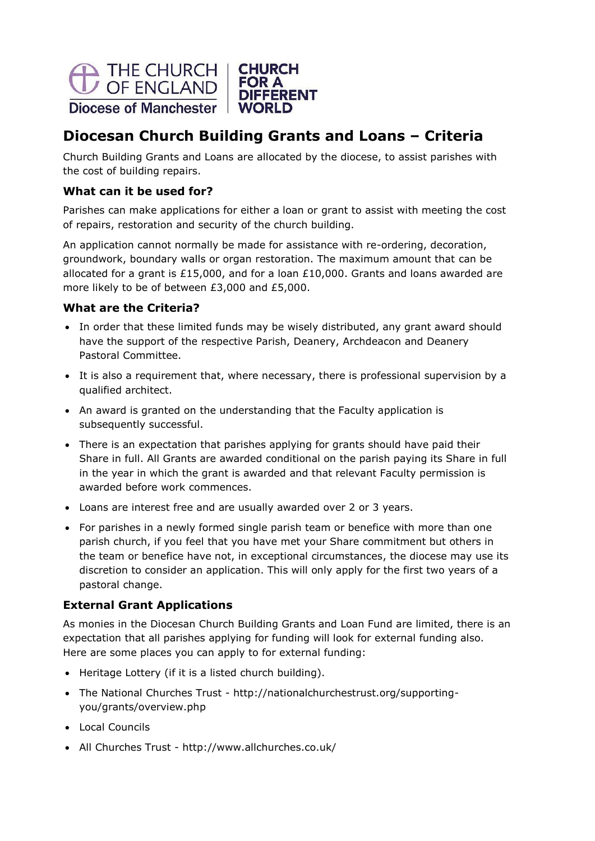

# **Diocesan Church Building Grants and Loans – Criteria**

Church Building Grants and Loans are allocated by the diocese, to assist parishes with the cost of building repairs.

#### **What can it be used for?**

Parishes can make applications for either a loan or grant to assist with meeting the cost of repairs, restoration and security of the church building.

An application cannot normally be made for assistance with re-ordering, decoration, groundwork, boundary walls or organ restoration. The maximum amount that can be allocated for a grant is £15,000, and for a loan £10,000. Grants and loans awarded are more likely to be of between £3,000 and £5,000.

#### **What are the Criteria?**

- In order that these limited funds may be wisely distributed, any grant award should have the support of the respective Parish, Deanery, Archdeacon and Deanery Pastoral Committee.
- It is also a requirement that, where necessary, there is professional supervision by a qualified architect.
- An award is granted on the understanding that the Faculty application is subsequently successful.
- There is an expectation that parishes applying for grants should have paid their Share in full. All Grants are awarded conditional on the parish paying its Share in full in the year in which the grant is awarded and that relevant Faculty permission is awarded before work commences.
- Loans are interest free and are usually awarded over 2 or 3 years.
- For parishes in a newly formed single parish team or benefice with more than one parish church, if you feel that you have met your Share commitment but others in the team or benefice have not, in exceptional circumstances, the diocese may use its discretion to consider an application. This will only apply for the first two years of a pastoral change.

# **External Grant Applications**

As monies in the Diocesan Church Building Grants and Loan Fund are limited, there is an expectation that all parishes applying for funding will look for external funding also. Here are some places you can apply to for external funding:

- Heritage Lottery (if it is a listed church building).
- The National Churches Trust [http://nationalchurchestrust.org/supporting](http://nationalchurchestrust.org/supporting-)you/grants/overview.php
- Local Councils
- All Churches Trust <http://www.allchurches.co.uk/>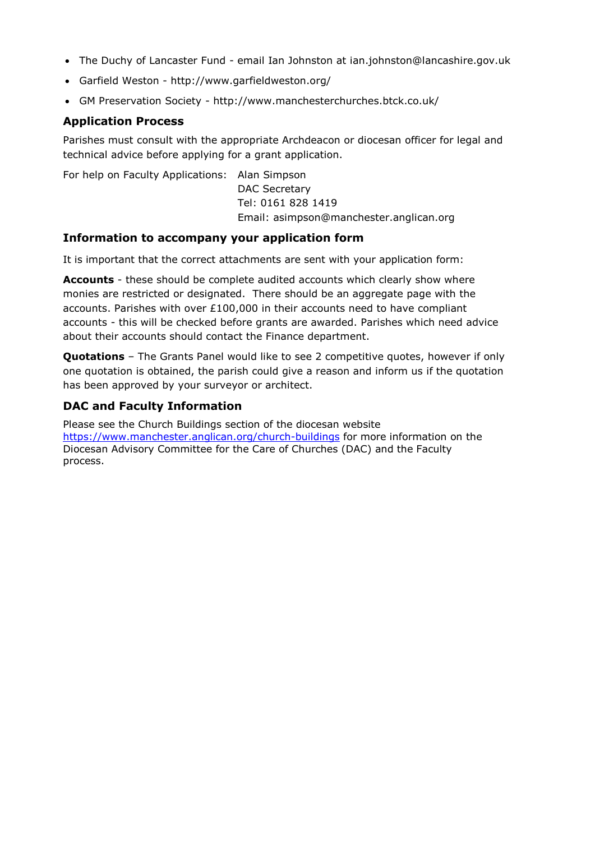- The Duchy of Lancaster Fund email Ian Johnston at [ian.johnston@lancashire.gov.uk](mailto:ian.johnston@lancashire.gov.uk)
- Garfield Weston <http://www.garfieldweston.org/>
- GM Preservation Society <http://www.manchesterchurches.btck.co.uk/>

#### **Application Process**

Parishes must consult with the appropriate Archdeacon or diocesan officer for legal and technical advice before applying for a grant application.

For help on Faculty Applications: Alan Simpson

DAC Secretary Tel: 0161 828 1419 Email: [asimpson@manchester.anglican.org](mailto:asimpson@manchester.anglican.org)

#### **Information to accompany your application form**

It is important that the correct attachments are sent with your application form:

**Accounts** - these should be complete audited accounts which clearly show where monies are restricted or designated. There should be an aggregate page with the accounts. Parishes with over  $£100,000$  in their accounts need to have compliant accounts - this will be checked before grants are awarded. Parishes which need advice about their accounts should contact the Finance department.

**Quotations** – The Grants Panel would like to see 2 competitive quotes, however if only one quotation is obtained, the parish could give a reason and inform us if the quotation has been approved by your surveyor or architect.

# **DAC and Faculty Information**

Please see the Church Buildings section of the diocesan website <https://www.manchester.anglican.org/church-buildings> for more information on the Diocesan Advisory Committee for the Care of Churches (DAC) and the Faculty process.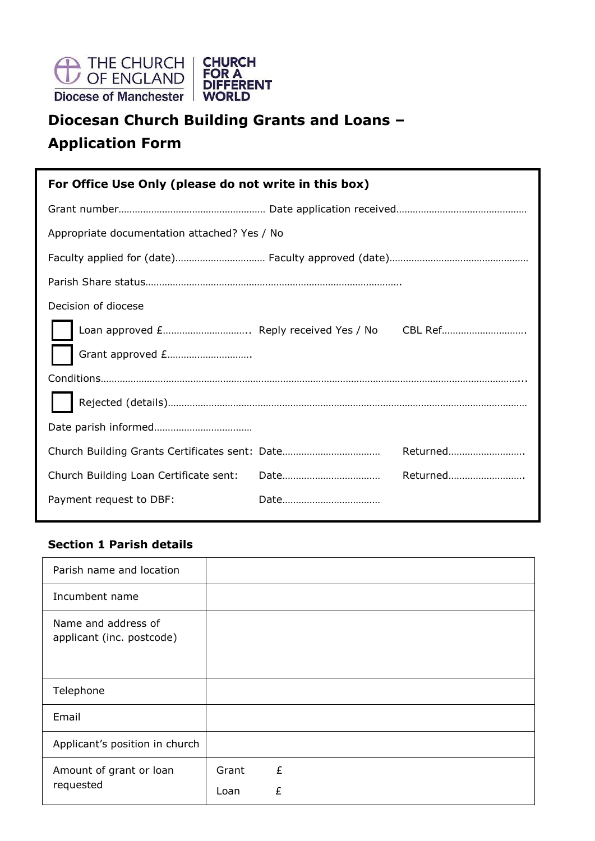

# **Diocesan Church Building Grants and Loans – Application Form**

| For Office Use Only (please do not write in this box) |  |          |  |
|-------------------------------------------------------|--|----------|--|
|                                                       |  |          |  |
| Appropriate documentation attached? Yes / No          |  |          |  |
|                                                       |  |          |  |
|                                                       |  |          |  |
| Decision of diocese                                   |  |          |  |
|                                                       |  |          |  |
| Grant approved £                                      |  |          |  |
|                                                       |  |          |  |
|                                                       |  |          |  |
|                                                       |  |          |  |
| Church Building Grants Certificates sent: Date        |  | Returned |  |
| Church Building Loan Certificate sent:                |  | Returned |  |
| Payment request to DBF:                               |  |          |  |

## **Section 1 Parish details**

| Parish name and location                         |               |        |  |
|--------------------------------------------------|---------------|--------|--|
| Incumbent name                                   |               |        |  |
| Name and address of<br>applicant (inc. postcode) |               |        |  |
| Telephone                                        |               |        |  |
| Email                                            |               |        |  |
| Applicant's position in church                   |               |        |  |
| Amount of grant or loan<br>requested             | Grant<br>Loan | £<br>£ |  |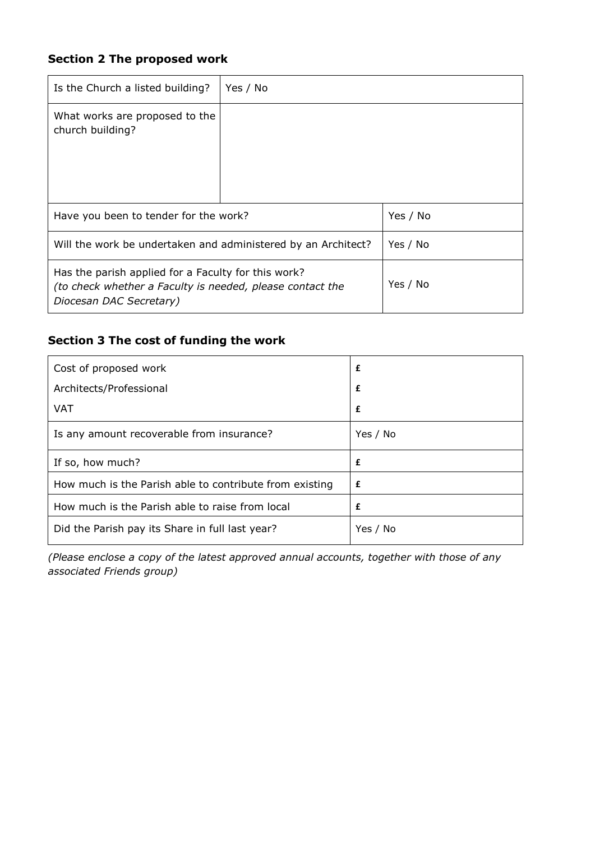# **Section 2 The proposed work**

| Is the Church a listed building?                                                                                                            | Yes / No |          |
|---------------------------------------------------------------------------------------------------------------------------------------------|----------|----------|
| What works are proposed to the<br>church building?                                                                                          |          |          |
| Have you been to tender for the work?                                                                                                       |          | Yes / No |
| Will the work be undertaken and administered by an Architect?                                                                               |          | Yes / No |
| Has the parish applied for a Faculty for this work?<br>(to check whether a Faculty is needed, please contact the<br>Diocesan DAC Secretary) |          | Yes / No |

# **Section 3 The cost of funding the work**

| Cost of proposed work                                   | £        |
|---------------------------------------------------------|----------|
| Architects/Professional                                 | £        |
| <b>VAT</b>                                              | £        |
| Is any amount recoverable from insurance?               | Yes / No |
| If so, how much?                                        | £        |
| How much is the Parish able to contribute from existing | £        |
| How much is the Parish able to raise from local         | £        |
| Did the Parish pay its Share in full last year?         | Yes / No |

**Yes No** *(Please enclose a copy of the latest approved annual accounts, together with those of any associated Friends group)*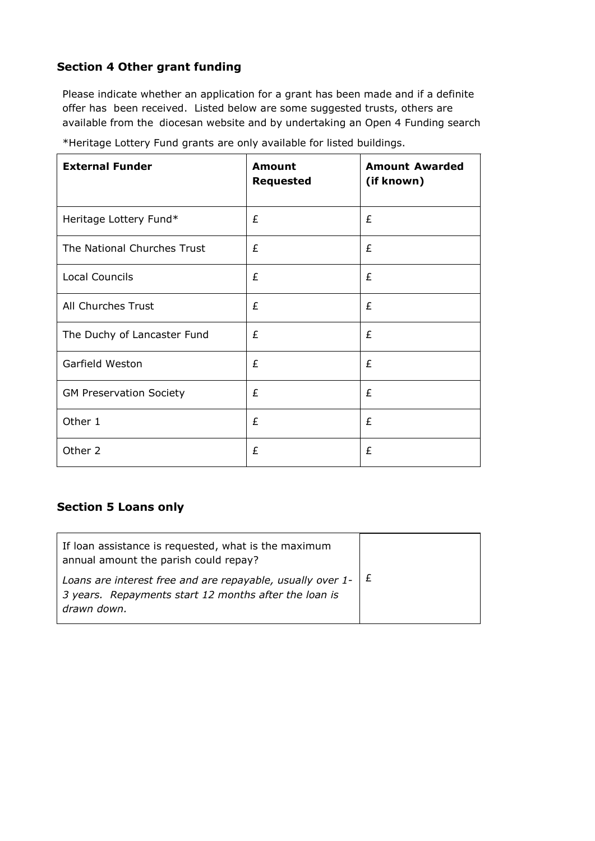# **Section 4 Other grant funding**

Please indicate whether an application for a grant has been made and if a definite offer has been received. Listed below are some suggested trusts, others are available from the diocesan website and by undertaking an Open 4 Funding search

| <b>External Funder</b>         | <b>Amount</b><br><b>Requested</b> | <b>Amount Awarded</b><br>(if known) |
|--------------------------------|-----------------------------------|-------------------------------------|
| Heritage Lottery Fund*         | £                                 | £                                   |
| The National Churches Trust    | £                                 | £                                   |
| Local Councils                 | £                                 | £                                   |
| All Churches Trust             | £                                 | £                                   |
| The Duchy of Lancaster Fund    | £                                 | £                                   |
| Garfield Weston                | £                                 | £                                   |
| <b>GM Preservation Society</b> | £                                 | £                                   |
| Other 1                        | £                                 | £                                   |
| Other 2                        | £                                 | £                                   |

\*Heritage Lottery Fund grants are only available for listed buildings.

#### **Section 5 Loans only**

| If loan assistance is requested, what is the maximum<br>annual amount the parish could repay?                                                    |  |
|--------------------------------------------------------------------------------------------------------------------------------------------------|--|
| Loans are interest free and are repayable, usually over 1- $\vert$ $\pm$<br>3 years. Repayments start 12 months after the loan is<br>drawn down. |  |